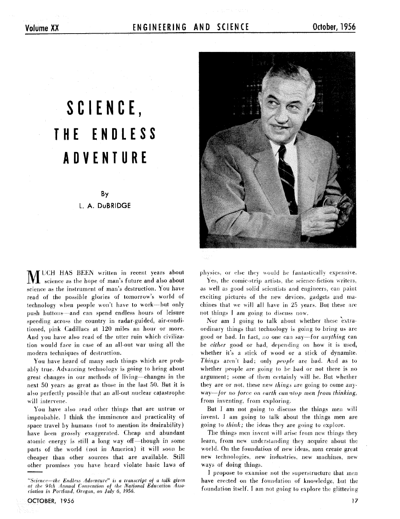# SCIENCE, ENDLESS THE **ADVENTURE**

## By

L. A. DuBRIDGE

**LUCH HAS BEEN** written in recent years about science as the hope of man's future and also about science aa the instrument of man's destruction. You have read of the possible glories of tomorrow's world of technology when people won't have to work- but only push buttons—and can spend endless hours of leisure speeding across the country in radar-guided, air-conditioned, pink Cadillacs at 120 miles an hour or more. And you have also read of the utter ruin which civilization would face in case of an all-out war using all the modern techniques of destruction.

You have heard of many such things which are probably true. Advancing technology is going to bring about great changes in our methods of living-changes in the next 50 years as great as those in the last 50. But it is also perfectly possible that an all-out nuclear catastrophe will intervene.

You have also read other things that are untrue or improbable. I think the imminence and practicality of space travel by humans (not to mention its desirability) have been grossly exaggerated. Cheap and abundant atomic energy is still a long way off-though in some parts of the world (not in America) it will soon be cheaper than other sources that are available. Still other promises you have heard violate basic laws of



physics, or else they would be fantastically expensive.

Yes, the comic-strip artists, the science-fiction writers, as well as good solid scientists and engineers, can paint exciting pictures of the new devices, gadgets and machines that we will all have in 25 years. But these are not things  $I$  am going to discuss now.

Nor am I going to talk about whether these extraordinary things that technology is going to bring us are good or bad. In fact, no one can say—for anything can be *either* good or bad, depending on how it is used, whether it's a stick of wood or a stick of dynamite. *Things* aren't bad; only people are bad. And as to whether people are going to be had or not there is no argument; some of them certainly will be. But whether they are or not, these new things are going to come anyway-for no force on earth can-stop men from thinking. from inventing, from exploring.

But I am not going to discuss the things men will invent. I am going to talk about the things men are going to *think*; the ideas they are going to explore.

The things men invent will arise from new things they learn, from new understanding they acquire about the world. On the foundation of new ideas, men create great new technologies, new industries, new machines, new ways of doing things.

I propose to examine not the superstructure that men have erected on the foundation of knowledge, but the foundation itself. I am not going to explore the glittering

<sup>&</sup>quot;Science-the Endless Adventure" is a transcript of a talk given<br>at the 94th Annual Convention of the National Education Association in Portland, Oregon, on July 6, 1956.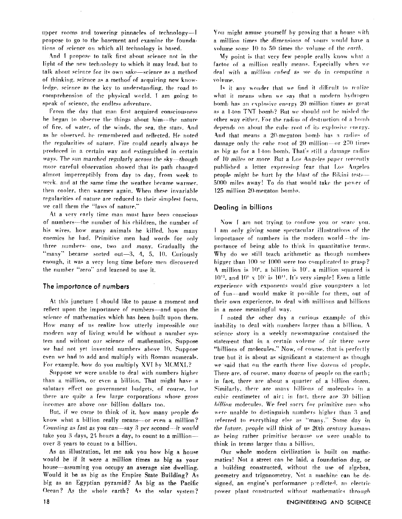upper rooms and towering pinnacles of technology-propose to go to the basement and examine the foundations of science on which all technology is based.

And I propose to talk first about science not in the light of the new technology to which it may lead, but to talk about science for its own sake-science as a method of thinking. science as a method **of** acquiring new knowledge, science as the key to understanding, the road to comprehension of the physical world. I am going to speak of science, the endless adventure.

From the day that man first acquired consciousness he began to observe the things about him--the pature of fire, of water, of the winds, the sea. the stars. And as he observed, he remembered and reflected. He noted the regularities of nature. Fire could nearly always be produced in a certain way and extinguished in certain ways. The sun marched regularly across the sky-though more careful observation showed that its path changed almost imperceptibly from day to day, from week to week, and at the same time the weather became warmer. then cooler, then warmer again. When these invariable regularities of nature are reduced to their simplest form. we call them the "laws of nature."

At a very early time man must have been conscious of numbers---the number of his children, the number of his wives. how many animals **he** killed. how many enemies he had. Primitive men had words For only three numbers- one, two and many. Gradually the "many" became sorted out-3, 4, 5, 10. Curiously enough, it was a very long time before men discovered the number "zero" and learned to use it.

## **The importance of numbers**

At this juncture I should like to pause a moment and reflect upon the importance of numbers-and upon the science of mathematics which has been built upon them. How many of us realize how utterly impossible our modern way of living would he without a number **sy**tern and without our science of mathematics. Suppose we had not yet invented numbers above 10. Suppose even we had to add and multiply with Roman numerals. For example, how do you multiply XVI by MCMXL?

Suppose we were unable to deal with numbers higher than a million, or even a billion. That might have a salutary effect on government budgets, of course, but there are quite a few large corporations whose gross incomes are above one billion dollars too.

But. if we come to think of it. how many people do know what a billion really means---or even a million? founting as fast as you can-say 3 per second-it would take you 3 days, 24 hours a day, to count to a millionover 8 years to count to a billion.

As an illustration, let me ask you how **big** a house would be if it were a million times as big as your house-assuming you occupy an average size dwelling. Would it be a< big as the Empire State Building? As big as an Egyptian pyramid? As big as the Pacific Ocean? As the whole earth? As the solar system?

You might amuse yourself by proving that a house with a million times the dimensions of yours would have a volume some 10 to 50 times the volume of the *earth*.

My point is that very few people really know what a factor of a million really means. Especially when we deal with a million cubed as we do in computing a volume.

Is it any wonder that we find it difficult to realize what it means when we say that a modern hydrogen bomb has an explosive energy 20 million times as great as a 1-ton TNT bomb? But we should not be misled the other way either. For the radius of destruction of a bomb depends on about the cube root of its explosive energy. And that means a 20-megaton bomh has a radius of damage only the cube root of 20 million-or  $270$  times as hig as for a 1-ton bomb. That's still a damage radius of 10 miles or more. But a Los Angeles paper recently published a letter expressing fear that Los Angeles<br>people might be hurt hy the blast of the Bikini tests— 5000 miles away! To do that would take the power of 125 million 20-megaton bombs.

## **Dealing in billions**

Now I am not trying to confuse you or seare you.  $I$  am only giving some spectacular illustrations of the importance of numbers in the modern world - the importance of being able to think in quantitative terms. Why do we still teach arithmetic as though numbers higger than  $100$  or  $1000$  were too complicated to grasp? A million is 10<sup>e</sup>, a billion is 10<sup>e</sup>. a million squared is  $10^{12}$ . and  $10^6$  x  $10^5$  is  $10^{11}$ . It's verv simple! Even a little experience with exponents would give youngsters a lot of fun--and would make it possible for them, out of their own experience, to deal with millions and billions in a more meaningful wav.

**<sup>f</sup>**noted the other day a curious example of this inability to deal with numbers larger than a billion. A science story in a weekly newsmagazine contained the statement that in a certain volume of air there were "billions of molecules." Now. of course. that is perfectly true but it is about as significant a statement as though we said that on the earth there live dozens of people. There are, of course, many dozens of people on the earth; in fact, there are about a quarter of a billion dozen. Similarly, there are many billions of molecules in a cubic centimeter of air: in fact. there are 30 billion *billion* molecules. We feel sorry for primitive men who were unable to distinguish numbers higher than  $3$  and referred to everything else as "many." Some day in the future, people will think of us 20th century humans as being rather primitive because ue were unable **to**  think in terms larger than a hilliori.

Our whole modern civilization is built on mathematics! Not a street can be laid, a foundation dug, or a building constructed, without the use of algebra, geometry and trigonometry. Not a machine can be designed, an engine's performance predicted, an electric power plant constructed without mathematics through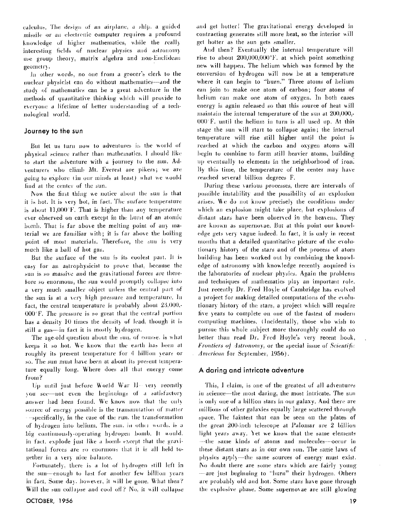calculus. The design of an airplane, a ship. a guided missile or an electronic computer requires a profound knowledge of higher mathematics, while the really interesting fields of nuclear physics and astronomy use group theory, matrix algebra and non-Euclidean geometry.

In other words, no one from a grocer's clerk to the nuclear physicist can do without mathematics—and the study of mathematics can be a great adventure in the methods of quantitative thinking which will provide to everyone a lifetime of better understanding of a technological world.

### Journey to the sun

But let us turn now to adventures in the world of physical science rather than mathematics. I should like to start the adventure with a journey to the sun. Adventurers who climb Mt. Everest are pikers; we are going to explore (in our minds at least) what we would find at the center of the sun.

Now the first thing we notice about the sun is that it is hot. It is very hot, in fact. The surface temperature is about 11,000°F. That is higher than any temperature ever observed on earth except in the burst of an atomic bomb. That is far above the melting point of any material we are familiar with; it is far above the boiling point of most materials. Therefore, the sun is very much like a ball of hot gas.

But the surface of the sun is its coolest part. It is easy for an astrophysicist to prove that, because the sun is so massive and the gravitational forces are therefore so enormous, the sun would promptly collapse into a very much smaller object unless the central part of the sun is at a very high pressure and temperature. In fact, the central temperature is probably about 23,000,-000°F. The pressure is so great that the central portion has a density 10 times the density of lead, though it is still a gas-in fact it is mostly hydrogen.

The age-old question about the sun, of course, is what keeps it so hot. We know that the earth has been at roughly its present temperature for 4 billion years or so. The sun must have been at about its present temperature equally long. Where does all that energy come from?

Up until just before World War II- very recently you see-not even the heginnings of a satisfactory answer had been found. We know now that the only source of energy possible is the transmutation of matter --specifically, in the case of the sun. the transformation of hydrogen into helium. The sun, in other words, is a big continuously-operating hydrogen bomb. It would. in fact, explode just like a bomb except that the gravitational forces are so enormous that it is all held together in a very nice balance.

Fortunately, there is a lot of hydrogen still left in the sun-enough to last for another few billion years in fact. Some day. however, it will be gone. What then? Will the sun collapse and cool off? No, it will collapse

and get hotter! The gravitational energy developed in contracting generates still more heat, so the interior will get hotter as the sun gets smaller.

And then? Eventually the internal temperature will rise to about 200,000,000°F, at which point something new will happen. The helium which was formed by the conversion of hydrogen will now be at a temperature where it can begin to "burn." Three atoms of helium can join to make one atom of carbon; four atoms of helium can make one atom of oxygen. In both cases energy is again released so that this source of heat will maintain the internal temperature of the sun at  $200,000,$ 000°F, until the helium in turn is all used up. At this stage the sun will start to collapse again; the internal temperature will rise still higher until the point is reached at which the carbon and oxygen atoms will begin to combine to form still heavier atoms, building up eventually to elements in the neighborhood of iron. By this time, the temperature of the center may have reached several billion degrees F.

During these various processes, there are intervals of possible instability and the possibility of an explosion arises. We do not know precisely the conditions under which an explosion might take place, but explosions of distant stars have been observed in the heavens. They are known as supernovae. But at this point our knowledge gets very vague indeed. In fact, it is only in recent months that a detailed quantitative picture of the evolutionary history of the stars and of the process of atom building has been worked out by combining the knowledge of astronomy with knowledge recently acquired in the laboratories of nuclear physics. Again the problems and techniques of mathematics play an important role. Just recently Dr. Fred Hoyle of Cambridge has evolved a project for making detailed computations of the evolutionary history of the stars, a project which will require five years to complete on one of the fastest of modern computing machines. (Incidentally, those who wish to pursue this whole subject more thoroughly could do no better than read Dr. Fred Hoyle's very recent book, Frontiers of Astronomy, or the special issue of Scientific American for September, 1956).

## A daring and intricate adventure

This, I claim, is one of the greatest of all adventures in science—the most daring, the most intricate. The sun is only one of a billion stars in our galaxy. And there are millions of other galaxies equally large scattered through space. The faintest that can be seen on the plates of the great 200-inch telescope at Palomar are 2 billion light years away. Yet we know that the same elements ---the same kinds of atoms and molecules---occur in these distant stars as in our own sun. The same laws of physics apply—the same sources of energy must exist. No doubt there are some stars which are fairly young —are just beginning to "burn" their hydrogen. Others are probably old and hot. Some stars have gone through the explosive phase. Some supernovae are still glowing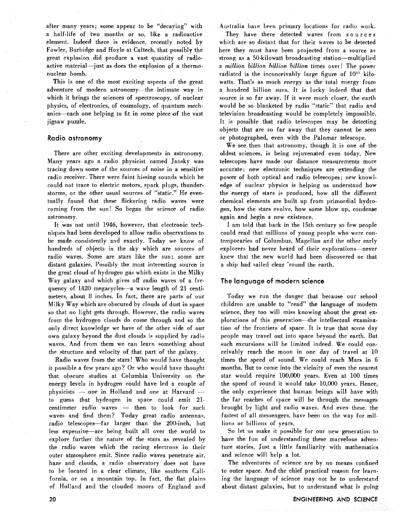after many years; some appear to be "decaying" with a half-life of two months or so, like a radioactive element. Indeed there is evidence, recently noted by Fowler, Burbidge and Hoyle at Caltech, that possibly the great explosion did produce a vast quantity of radioactive material-just as does the explosion of a thermonuclear bomb.

This is one of the most exciting aspects of the great adventure of modern astronomy-the intimate way in which it brings the sciences of spectroscopy, of nuclear physics, of electronics, of cosmology, of quantum mechanics-each one helping to fit in some piece of the vast jigsaw puzzle.

#### **Radio astronomy**

There are other exciting developments in astronomy. Many years ago a radio physicist named Jansky was tracing down some of the sources of noise in a sensitive radio receiver. There were faint hissing sounds which he could not trace to electric motors, spark plugs, thunderstorms, or the other usual sources of "static." He eventually found that these flickering radio waves were coming from the sun! So began the science of radio astronomy.

It was not until 1946, however, that electronic techniques had been developed to allow radio observations to be made consistently and exactly. Today we know of hundreds of objects in the sky which are sources of radio waves. Some are stars like the sun; some are distant galaxies. Possibly the most interesting source is the great cloud of hydrogen gas which exists in the Milky Way galaxy and which gives off radio waves of a frequency of 1420 megacycles-a wave length of 21 centimeters, about 8 inches. In fact, there are parts of our Milky Way which are obscured by clouds of dust in space so that no light gets through. However, the radio waves from the hydrogen clouds do come through and so the only direct knowledge we have of the other side of our own galaxy beyond the dust clouds is supplied by radio waves. And from them we can learn something about the structure and velocity of that part of the galaxy.

Radio waves from the stars! Who would have thought it possible a few years ago? Or who would have thought that obscure studies at Columbia University on the energy levels in hydrogen could have led a couple of that obscure studies at Columbia University on the<br>energy levels in hydrogen could have led a couple of<br>physicists — one in Holland and one at Harvard to guess that hydrogen in space could emit 21 physicists - one in Holland and one at Harvard --<br>to guess that hydrogen in space could emit 21-<br>centimeter radio waves -- then to look for such waves and find them? Today great radio antennas, radio telescopes-far larger than the 200-inch, but less expensive-are being built all over the world to explore further the nature of the stars as revealed by the radio waves which the racing electrons in their outer atmosphere emit. Since radio waves penetrate air. haze and clouds, a radio observatory does not have to be located in a clear climate, like southern California, or on a mountain top. In fact, the flat plains of Holland and the clouded moors of England and

Australia have been primary locations for radio work.

They have there detected waves from sources which are so distant that for their waves to be detected here they must have been projected from a source as strong as a 50-kilowatt broadcasting station-multiplied a million billion billion billion times over! The power radiated is the inconceivably large figure of  $10^{33}$  kilowatts. That's as much energy as the total energy from a hundred billion suns. It is lucky indeed that that source is so far away. If it were much closer, the earth would be so blanketed by radio "static" that radio and television broadcasting would be completely impossible. It is possible that radio telescopes may be detecting objects that are so far away that they cannot be seen or photographed, even with the Palomar telescope.

We see then that astronomy, though it is one of the oldest sciences, is being rejuvenated even today. New telescopes have made our distance measurements more accurate; new electronic techniques are extending the power of both optical and radio telescopes; new knowledge of nuclear physics is helping us understand how the energy of stars is produced, how all the different chemical elements are built up from primordial hydrogen, how the stars evolve, how some blow up, condense again and begin a new existence.

I am told that back in the 15th century so few people could read that millions of young people who were contemporaries of Columbus, Magellan and the other early explorers had never heard of their explorations-never knew that the new world had been discovered or that a ship had sailed clear 'round the earth.

#### **The language of modern science**

Today we run the danger that because our school children are unable to "read" the language of modern science, they too will miss knowing about the great explorations of this generation-the intellectual examination of the frontiers of space. It is true that some day people may travel out into space beyond the earth. But such excursions will be limited indeed. We could conceivably reach the moon in one day of travel at 10 times the speed of sound. We could reach Mars in *6*  months. But to come into the vicinity of even the nearest star would require 100,000 years. Even at 100 times the speed of sound it would take 10,000 years. Hence, the only experience that human beings will have with the far reaches of space will be through the messages brought by light and radio waves. And even these. the fastest of all messengers, have been on the way for millions or billions of years.

So let us make it possible for our new generation to have the fun of understanding these marvelous adventure stories. Just a little familiarity with mathematics and science will help a lot.

The adventures of science are by no means confined to outer space. And the chief practical reason for learning the language of science may not be to understand about distant galaxies, but to understand what is going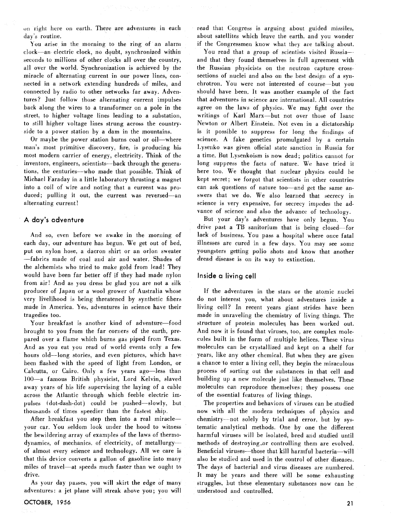un right here on earth. There are adventures in each day's routine.

You arise in the morning to the ring of an alarm clock-an electric clock, no doubt, synchronized within seconds to millions of other clocks all over the country, all over the world. Synchronization is achieved by the miracle of alternating current in our power lines, connected in a network extending hundreds of miles, and connected by radio to other networks far away. Adventures? Just follow those alternating current impulses back along the wires to a transformer on a pole in the street, to higher voltage lines leading to a substation. to still higher voltage lines strung across the countryside to a power station by a dam in the mountains.

Or maybe the power station burns coal or oil—where man's most primitive discovery, fire, is producing his most modern carrier of energy, electricity. Think of the inventors, engineers, scientists-back through the generations, the centuries-who made that possible. Think of Michael Faraday in a little laboratory thrusting a magnet into a coil of wire and noting that a current was produced; pulling it out, the current was reversed-an alternating current !

#### **A day's adventure**

And so, even before we awake in the morning of each day, our adventure has begun. We get out of bed. put on nylon hose, a dacron shirt or an orlon sweater -fabrics made of coal and air and water. Shades of the alchemists who tried to make gold from lead! They would have been far better off if they had made nylon from air! And as you dress be glad you are not a silk producer of Japan or a wool grower of Australia whose very livelihood is being threatened by synthetic fibers made in America. Yes. adventures in science have their tragedies too.

Your breakfast is another kind of adventure-food brought to you from the far corners of the earth, prepared over a flame which burns gas piped from Texas. And as you eat you read of world events only a few hours old-long stories, and even pictures, which have been flashed with the speed of light from London, or Calcutta, or Cairo. Only a few years ago-less than 100-a famous British physicist, Lord Kelvin, slaved away years of his life supervising the laying of a cable across the Atlantic through which feeble electric impulses ( dot-dash-dot) could be pushed-slowly, but thousands of times speedier than the fastest ship.

After breakfast you step then into a real miracleyour car. You seldom look under the hood to witness the bewildering array of examples of the laws of thermodynamics, of mechanics, of electricity, of metallurgyof almost every science and technology. All we care is that this device converts a gallon of gasoline into many miles of travel-at speeds much faster than we ought to drive.

As your day passes. you will skirt the edge of many adventures: a jet plane will streak above you; you will

**OCTOBER, 1956 2 1** 

read that Congress is arguing about guided missiles, about satellites which leave the earth. and you wonder if the Congressmen know what they are talking about.

You read that a group of scientists visited Russiaand that they found themselves in full agreement with the Russian physicists on the neutron capture crosssections of nuclei and also on the best design of a synchrotron. You were not interested of course-but you should have been. It was another example of the fact that adventures in science are international. All countries agree on the laws of physics. We may fight over the writings of Karl Marx-but not over those of Isaac Newton or Albert Einstein. Not even in a dictatorship is it possible to suppress for long the findings of science. A fake genetics promulgated by a certain Lysenko was given official state sanction in Russia for a time. But Lysenkoism is now dead; politics cannot for long suppress the facts of nature. We have tried it here too. We thought that nuclear physics could be kept secret; we forgot that scientists in other countries can ask questions of nature too-and get the same answers that we do. We also learned that secrecy in science is very expensive, for secrecy impedes the advance of science and also the advance of technology.

But your day's adventures have only begun. You drive past a TB sanitorium that is being closed-for lack of business. You pass a hospital where once fatal illnesses are cured in a few days. You may see some youngsters getting polio shots and know that another dread disease is on its way to extinction.

#### **Inside a living cell**

If the adventures in the stars or the atomic nuclei do not interest you, what about adventures inside a living cell? In recent years giant strides have been made in unraveling the chemistry of living things. The structure of protein molecules has been worked out. And now it is found that viruses, too, are complex molecules built in the form of multiple helices. These virus molecules can be crystallized and kept on a shelf for years, like any other chemical. But when they are given a chance to enter a living cell, they begin the miraculous process of sorting out the substances in that cell and building up a new molecule just like themselves. These molecules can reproduce themselves; they possess one of the essential features of living things.

The properties and behaviors of viruses can be studied now with all the modern techniques of physics and chemistry-not solely by trial and error. but by systematic analytical methods. One by one the different harmful viruses will be isolated, bred and studied until methods of destroying-or controlling them are evolved. Beneficial viruses—those that kill harmful bacteria—will also be studied and used in the control of other diseases. The days of bacterial and virus diseases are numbered. It may be years and there will be some exhausting struggles, but these elementary substances now can be understood and controlled.